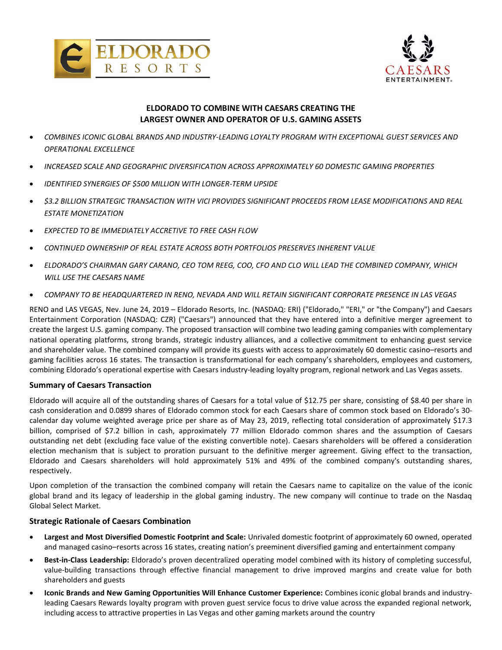



# **ELDORADO TO COMBINE WITH CAESARS CREATING THE LARGEST OWNER AND OPERATOR OF U.S. GAMING ASSETS**

- *COMBINES ICONIC GLOBAL BRANDS AND INDUSTRY-LEADING LOYALTY PROGRAM WITH EXCEPTIONAL GUEST SERVICES AND OPERATIONAL EXCELLENCE*
- *INCREASED SCALE AND GEOGRAPHIC DIVERSIFICATION ACROSS APPROXIMATELY 60 DOMESTIC GAMING PROPERTIES*
- *IDENTIFIED SYNERGIES OF \$500 MILLION WITH LONGER-TERM UPSIDE*
- *\$3.2 BILLION STRATEGIC TRANSACTION WITH VICI PROVIDES SIGNIFICANT PROCEEDS FROM LEASE MODIFICATIONS AND REAL ESTATE MONETIZATION*
- *EXPECTED TO BE IMMEDIATELY ACCRETIVE TO FREE CASH FLOW*
- *CONTINUED OWNERSHIP OF REAL ESTATE ACROSS BOTH PORTFOLIOS PRESERVES INHERENT VALUE*
- *ELDORADO'S CHAIRMAN GARY CARANO, CEO TOM REEG, COO, CFO AND CLO WILL LEAD THE COMBINED COMPANY, WHICH WILL USE THE CAESARS NAME*
- *COMPANY TO BE HEADQUARTERED IN RENO, NEVADA AND WILL RETAIN SIGNIFICANT CORPORATE PRESENCE IN LAS VEGAS*

RENO and LAS VEGAS, Nev. June 24, 2019 – Eldorado Resorts, Inc. (NASDAQ: ERI) ("Eldorado," "ERI," or "the Company") and Caesars Entertainment Corporation (NASDAQ: CZR) ("Caesars") announced that they have entered into a definitive merger agreement to create the largest U.S. gaming company. The proposed transaction will combine two leading gaming companies with complementary national operating platforms, strong brands, strategic industry alliances, and a collective commitment to enhancing guest service and shareholder value. The combined company will provide its guests with access to approximately 60 domestic casino–resorts and gaming facilities across 16 states. The transaction is transformational for each company's shareholders, employees and customers, combining Eldorado's operational expertise with Caesars industry-leading loyalty program, regional network and Las Vegas assets.

#### **Summary of Caesars Transaction**

Eldorado will acquire all of the outstanding shares of Caesars for a total value of \$12.75 per share, consisting of \$8.40 per share in cash consideration and 0.0899 shares of Eldorado common stock for each Caesars share of common stock based on Eldorado's 30 calendar day volume weighted average price per share as of May 23, 2019, reflecting total consideration of approximately \$17.3 billion, comprised of \$7.2 billion in cash, approximately 77 million Eldorado common shares and the assumption of Caesars outstanding net debt (excluding face value of the existing convertible note). Caesars shareholders will be offered a consideration election mechanism that is subject to proration pursuant to the definitive merger agreement. Giving effect to the transaction, Eldorado and Caesars shareholders will hold approximately 51% and 49% of the combined company's outstanding shares, respectively.

Upon completion of the transaction the combined company will retain the Caesars name to capitalize on the value of the iconic global brand and its legacy of leadership in the global gaming industry. The new company will continue to trade on the Nasdaq Global Select Market.

#### **Strategic Rationale of Caesars Combination**

- **Largest and Most Diversified Domestic Footprint and Scale:** Unrivaled domestic footprint of approximately 60 owned, operated and managed casino–resorts across 16 states, creating nation's preeminent diversified gaming and entertainment company
- **Best-in-Class Leadership:** Eldorado's proven decentralized operating model combined with its history of completing successful, value-building transactions through effective financial management to drive improved margins and create value for both shareholders and guests
- **Iconic Brands and New Gaming Opportunities Will Enhance Customer Experience:** Combines iconic global brands and industryleading Caesars Rewards loyalty program with proven guest service focus to drive value across the expanded regional network, including access to attractive properties in Las Vegas and other gaming markets around the country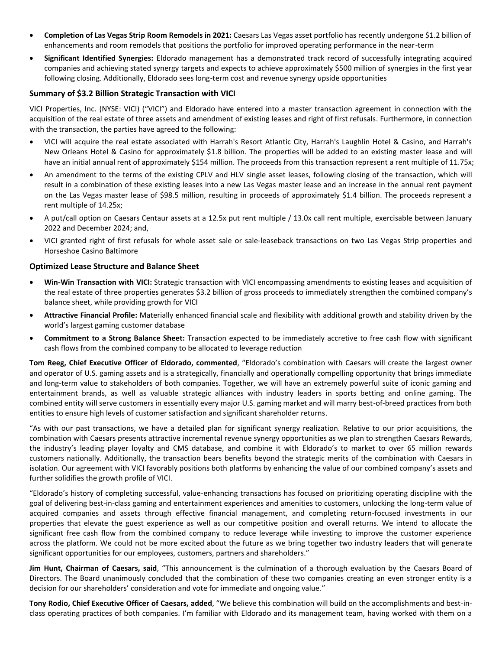- **Completion of Las Vegas Strip Room Remodels in 2021:** Caesars Las Vegas asset portfolio has recently undergone \$1.2 billion of enhancements and room remodels that positions the portfolio for improved operating performance in the near-term
- **Significant Identified Synergies:** Eldorado management has a demonstrated track record of successfully integrating acquired companies and achieving stated synergy targets and expects to achieve approximately \$500 million of synergies in the first year following closing. Additionally, Eldorado sees long-term cost and revenue synergy upside opportunities

### **Summary of \$3.2 Billion Strategic Transaction with VICI**

VICI Properties, Inc. (NYSE: VICI) ("VICI") and Eldorado have entered into a master transaction agreement in connection with the acquisition of the real estate of three assets and amendment of existing leases and right of first refusals. Furthermore, in connection with the transaction, the parties have agreed to the following:

- VICI will acquire the real estate associated with Harrah's Resort Atlantic City, Harrah's Laughlin Hotel & Casino, and Harrah's New Orleans Hotel & Casino for approximately \$1.8 billion. The properties will be added to an existing master lease and will have an initial annual rent of approximately \$154 million. The proceeds from this transaction represent a rent multiple of 11.75x;
- An amendment to the terms of the existing CPLV and HLV single asset leases, following closing of the transaction, which will result in a combination of these existing leases into a new Las Vegas master lease and an increase in the annual rent payment on the Las Vegas master lease of \$98.5 million, resulting in proceeds of approximately \$1.4 billion. The proceeds represent a rent multiple of 14.25x;
- A put/call option on Caesars Centaur assets at a 12.5x put rent multiple / 13.0x call rent multiple, exercisable between January 2022 and December 2024; and,
- VICI granted right of first refusals for whole asset sale or sale-leaseback transactions on two Las Vegas Strip properties and Horseshoe Casino Baltimore

## **Optimized Lease Structure and Balance Sheet**

- **Win-Win Transaction with VICI:** Strategic transaction with VICI encompassing amendments to existing leases and acquisition of the real estate of three properties generates \$3.2 billion of gross proceeds to immediately strengthen the combined company's balance sheet, while providing growth for VICI
- **Attractive Financial Profile:** Materially enhanced financial scale and flexibility with additional growth and stability driven by the world's largest gaming customer database
- **Commitment to a Strong Balance Sheet:** Transaction expected to be immediately accretive to free cash flow with significant cash flows from the combined company to be allocated to leverage reduction

**Tom Reeg, Chief Executive Officer of Eldorado, commented**, "Eldorado's combination with Caesars will create the largest owner and operator of U.S. gaming assets and is a strategically, financially and operationally compelling opportunity that brings immediate and long-term value to stakeholders of both companies. Together, we will have an extremely powerful suite of iconic gaming and entertainment brands, as well as valuable strategic alliances with industry leaders in sports betting and online gaming. The combined entity will serve customers in essentially every major U.S. gaming market and will marry best-of-breed practices from both entities to ensure high levels of customer satisfaction and significant shareholder returns.

"As with our past transactions, we have a detailed plan for significant synergy realization. Relative to our prior acquisitions, the combination with Caesars presents attractive incremental revenue synergy opportunities as we plan to strengthen Caesars Rewards, the industry's leading player loyalty and CMS database, and combine it with Eldorado's to market to over 65 million rewards customers nationally. Additionally, the transaction bears benefits beyond the strategic merits of the combination with Caesars in isolation. Our agreement with VICI favorably positions both platforms by enhancing the value of our combined company's assets and further solidifies the growth profile of VICI.

"Eldorado's history of completing successful, value-enhancing transactions has focused on prioritizing operating discipline with the goal of delivering best-in-class gaming and entertainment experiences and amenities to customers, unlocking the long-term value of acquired companies and assets through effective financial management, and completing return-focused investments in our properties that elevate the guest experience as well as our competitive position and overall returns. We intend to allocate the significant free cash flow from the combined company to reduce leverage while investing to improve the customer experience across the platform. We could not be more excited about the future as we bring together two industry leaders that will generate significant opportunities for our employees, customers, partners and shareholders."

**Jim Hunt, Chairman of Caesars, said**, "This announcement is the culmination of a thorough evaluation by the Caesars Board of Directors. The Board unanimously concluded that the combination of these two companies creating an even stronger entity is a decision for our shareholders' consideration and vote for immediate and ongoing value."

**Tony Rodio, Chief Executive Officer of Caesars, added**, "We believe this combination will build on the accomplishments and best-inclass operating practices of both companies. I'm familiar with Eldorado and its management team, having worked with them on a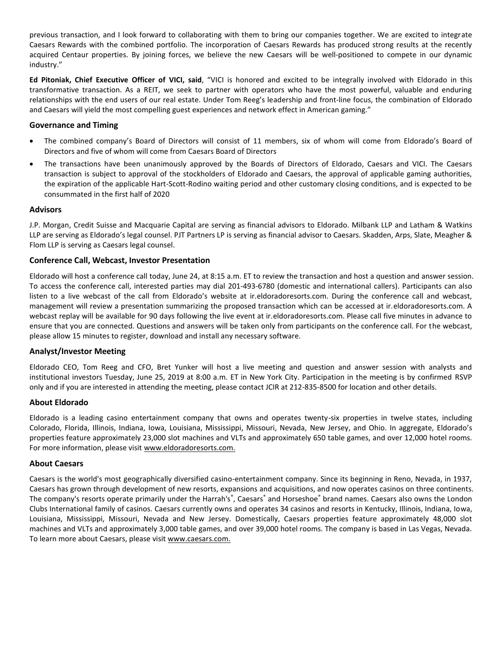previous transaction, and I look forward to collaborating with them to bring our companies together. We are excited to integrate Caesars Rewards with the combined portfolio. The incorporation of Caesars Rewards has produced strong results at the recently acquired Centaur properties. By joining forces, we believe the new Caesars will be well-positioned to compete in our dynamic industry."

**Ed Pitoniak, Chief Executive Officer of VICI, said**, "VICI is honored and excited to be integrally involved with Eldorado in this transformative transaction. As a REIT, we seek to partner with operators who have the most powerful, valuable and enduring relationships with the end users of our real estate. Under Tom Reeg's leadership and front-line focus, the combination of Eldorado and Caesars will yield the most compelling guest experiences and network effect in American gaming."

### **Governance and Timing**

- The combined company's Board of Directors will consist of 11 members, six of whom will come from Eldorado's Board of Directors and five of whom will come from Caesars Board of Directors
- The transactions have been unanimously approved by the Boards of Directors of Eldorado, Caesars and VICI. The Caesars transaction is subject to approval of the stockholders of Eldorado and Caesars, the approval of applicable gaming authorities, the expiration of the applicable Hart-Scott-Rodino waiting period and other customary closing conditions, and is expected to be consummated in the first half of 2020

## **Advisors**

J.P. Morgan, Credit Suisse and Macquarie Capital are serving as financial advisors to Eldorado. Milbank LLP and Latham & Watkins LLP are serving as Eldorado's legal counsel. PJT Partners LP is serving as financial advisor to Caesars. Skadden, Arps, Slate, Meagher & Flom LLP is serving as Caesars legal counsel.

## **Conference Call, Webcast, Investor Presentation**

Eldorado will host a conference call today, June 24, at 8:15 a.m. ET to review the transaction and host a question and answer session. To access the conference call, interested parties may dial 201-493-6780 (domestic and international callers). Participants can also listen to a live webcast of the call from Eldorado's website at ir.eldoradoresorts.com. During the conference call and webcast, management will review a presentation summarizing the proposed transaction which can be accessed at ir.eldoradoresorts.com. A webcast replay will be available for 90 days following the live event at ir.eldoradoresorts.com. Please call five minutes in advance to ensure that you are connected. Questions and answers will be taken only from participants on the conference call. For the webcast, please allow 15 minutes to register, download and install any necessary software.

#### **Analyst/Investor Meeting**

Eldorado CEO, Tom Reeg and CFO, Bret Yunker will host a live meeting and question and answer session with analysts and institutional investors Tuesday, June 25, 2019 at 8:00 a.m. ET in New York City. Participation in the meeting is by confirmed RSVP only and if you are interested in attending the meeting, please contact JCIR at 212-835-8500 for location and other details.

#### **About Eldorado**

Eldorado is a leading casino entertainment company that owns and operates twenty-six properties in twelve states, including Colorado, Florida, Illinois, Indiana, Iowa, Louisiana, Mississippi, Missouri, Nevada, New Jersey, and Ohio. In aggregate, Eldorado's properties feature approximately 23,000 slot machines and VLTs and approximately 650 table games, and over 12,000 hotel rooms. For more information, please visit [www.eldoradoresorts.com.](http://www.eldoradoresorts.com/)

#### **About Caesars**

Caesars is the world's most geographically diversified casino-entertainment company. Since its beginning in Reno, Nevada, in 1937, Caesars has grown through development of new resorts, expansions and acquisitions, and now operates casinos on three continents. The company's resorts operate primarily under the Harrah's®, Caesars® and Horseshoe® brand names. Caesars also owns the London Clubs International family of casinos. Caesars currently owns and operates 34 casinos and resorts in Kentucky, Illinois, Indiana, Iowa, Louisiana, Mississippi, Missouri, Nevada and New Jersey. Domestically, Caesars properties feature approximately 48,000 slot machines and VLTs and approximately 3,000 table games, and over 39,000 hotel rooms. The company is based in Las Vegas, Nevada. To learn more about Caesars, please visi[t www.caesars.com.](http://www.caesars.com/)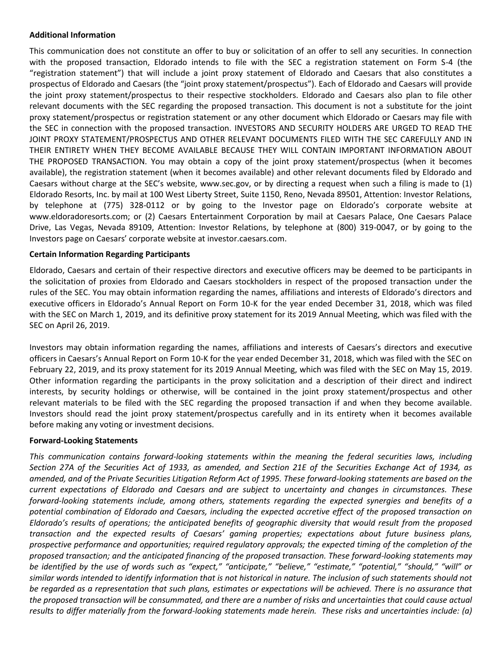# **Additional Information**

This communication does not constitute an offer to buy or solicitation of an offer to sell any securities. In connection with the proposed transaction, Eldorado intends to file with the SEC a registration statement on Form S-4 (the "registration statement") that will include a joint proxy statement of Eldorado and Caesars that also constitutes a prospectus of Eldorado and Caesars (the "joint proxy statement/prospectus"). Each of Eldorado and Caesars will provide the joint proxy statement/prospectus to their respective stockholders. Eldorado and Caesars also plan to file other relevant documents with the SEC regarding the proposed transaction. This document is not a substitute for the joint proxy statement/prospectus or registration statement or any other document which Eldorado or Caesars may file with the SEC in connection with the proposed transaction. INVESTORS AND SECURITY HOLDERS ARE URGED TO READ THE JOINT PROXY STATEMENT/PROSPECTUS AND OTHER RELEVANT DOCUMENTS FILED WITH THE SEC CAREFULLY AND IN THEIR ENTIRETY WHEN THEY BECOME AVAILABLE BECAUSE THEY WILL CONTAIN IMPORTANT INFORMATION ABOUT THE PROPOSED TRANSACTION. You may obtain a copy of the joint proxy statement/prospectus (when it becomes available), the registration statement (when it becomes available) and other relevant documents filed by Eldorado and Caesars without charge at the SEC's website, www.sec.gov, or by directing a request when such a filing is made to (1) Eldorado Resorts, Inc. by mail at 100 West Liberty Street, Suite 1150, Reno, Nevada 89501, Attention: Investor Relations, by telephone at (775) 328-0112 or by going to the Investor page on Eldorado's corporate website at www.eldoradoresorts.com; or (2) Caesars Entertainment Corporation by mail at Caesars Palace, One Caesars Palace Drive, Las Vegas, Nevada 89109, Attention: Investor Relations, by telephone at (800) 319-0047, or by going to the Investors page on Caesars' corporate website at investor.caesars.com.

## **Certain Information Regarding Participants**

Eldorado, Caesars and certain of their respective directors and executive officers may be deemed to be participants in the solicitation of proxies from Eldorado and Caesars stockholders in respect of the proposed transaction under the rules of the SEC. You may obtain information regarding the names, affiliations and interests of Eldorado's directors and executive officers in Eldorado's Annual Report on Form 10-K for the year ended December 31, 2018, which was filed with the SEC on March 1, 2019, and its definitive proxy statement for its 2019 Annual Meeting, which was filed with the SEC on April 26, 2019.

Investors may obtain information regarding the names, affiliations and interests of Caesars's directors and executive officers in Caesars's Annual Report on Form 10-K for the year ended December 31, 2018, which was filed with the SEC on February 22, 2019, and its proxy statement for its 2019 Annual Meeting, which was filed with the SEC on May 15, 2019. Other information regarding the participants in the proxy solicitation and a description of their direct and indirect interests, by security holdings or otherwise, will be contained in the joint proxy statement/prospectus and other relevant materials to be filed with the SEC regarding the proposed transaction if and when they become available. Investors should read the joint proxy statement/prospectus carefully and in its entirety when it becomes available before making any voting or investment decisions.

#### **Forward-Looking Statements**

*This communication contains forward-looking statements within the meaning the federal securities laws, including Section 27A of the Securities Act of 1933, as amended, and Section 21E of the Securities Exchange Act of 1934, as amended, and of the Private Securities Litigation Reform Act of 1995. These forward-looking statements are based on the current expectations of Eldorado and Caesars and are subject to uncertainty and changes in circumstances. These forward-looking statements include, among others, statements regarding the expected synergies and benefits of a potential combination of Eldorado and Caesars, including the expected accretive effect of the proposed transaction on Eldorado's results of operations; the anticipated benefits of geographic diversity that would result from the proposed transaction and the expected results of Caesars' gaming properties; expectations about future business plans, prospective performance and opportunities; required regulatory approvals; the expected timing of the completion of the proposed transaction; and the anticipated financing of the proposed transaction. These forward-looking statements may be identified by the use of words such as "expect," "anticipate," "believe," "estimate," "potential," "should," "will" or similar words intended to identify information that is not historical in nature. The inclusion of such statements should not be regarded as a representation that such plans, estimates or expectations will be achieved. There is no assurance that the proposed transaction will be consummated, and there are a number of risks and uncertainties that could cause actual results to differ materially from the forward-looking statements made herein. These risks and uncertainties include: (a)*